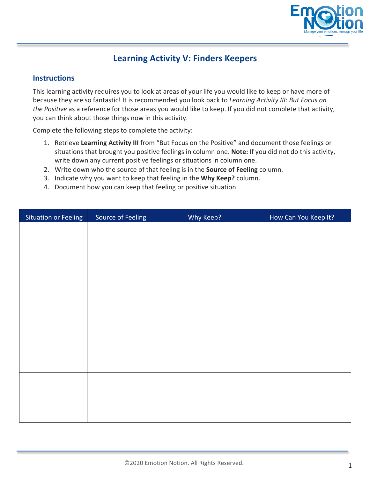

## **Learning Activity V: Finders Keepers**

## **Instructions**

This learning activity requires you to look at areas of your life you would like to keep or have more of because they are so fantastic! It is recommended you look back to *Learning Activity III: But Focus on* the Positive as a reference for those areas you would like to keep. If you did not complete that activity, you can think about those things now in this activity.

Complete the following steps to complete the activity:

- 1. Retrieve Learning Activity III from "But Focus on the Positive" and document those feelings or situations that brought you positive feelings in column one. **Note:** If you did not do this activity, write down any current positive feelings or situations in column one.
- 2. Write down who the source of that feeling is in the **Source of Feeling** column.
- 3. Indicate why you want to keep that feeling in the **Why Keep?** column.
- 4. Document how you can keep that feeling or positive situation.

| <b>Situation or Feeling</b> | Source of Feeling | Why Keep? | How Can You Keep It? |
|-----------------------------|-------------------|-----------|----------------------|
|                             |                   |           |                      |
|                             |                   |           |                      |
|                             |                   |           |                      |
|                             |                   |           |                      |
|                             |                   |           |                      |
|                             |                   |           |                      |
|                             |                   |           |                      |
|                             |                   |           |                      |
|                             |                   |           |                      |
|                             |                   |           |                      |
|                             |                   |           |                      |
|                             |                   |           |                      |
|                             |                   |           |                      |
|                             |                   |           |                      |
|                             |                   |           |                      |
|                             |                   |           |                      |
|                             |                   |           |                      |
|                             |                   |           |                      |
|                             |                   |           |                      |
|                             |                   |           |                      |